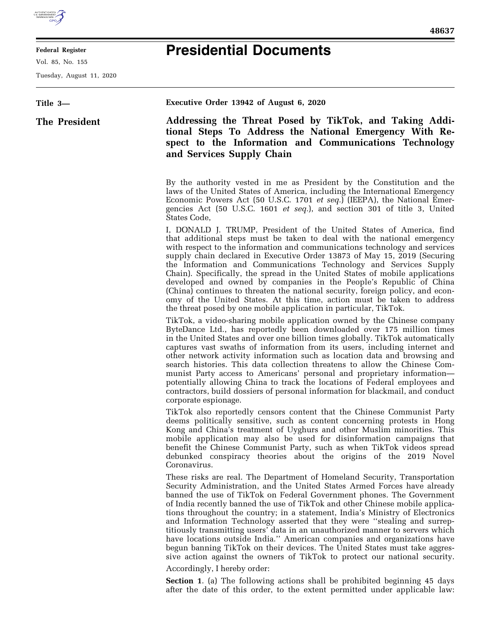

## **Federal Register**

Vol. 85, No. 155

Tuesday, August 11, 2020

## **Presidential Documents**

## **Title 3— The President Executive Order 13942 of August 6, 2020 Addressing the Threat Posed by TikTok, and Taking Additional Steps To Address the National Emergency With Respect to the Information and Communications Technology and Services Supply Chain**  By the authority vested in me as President by the Constitution and the laws of the United States of America, including the International Emergency Economic Powers Act (50 U.S.C. 1701 *et seq.*) (IEEPA), the National Emergencies Act (50 U.S.C. 1601 *et seq.*), and section 301 of title 3, United States Code, I, DONALD J. TRUMP, President of the United States of America, find that additional steps must be taken to deal with the national emergency with respect to the information and communications technology and services supply chain declared in Executive Order 13873 of May 15, 2019 (Securing the Information and Communications Technology and Services Supply Chain). Specifically, the spread in the United States of mobile applications developed and owned by companies in the People's Republic of China (China) continues to threaten the national security, foreign policy, and economy of the United States. At this time, action must be taken to address the threat posed by one mobile application in particular, TikTok. TikTok, a video-sharing mobile application owned by the Chinese company ByteDance Ltd., has reportedly been downloaded over 175 million times in the United States and over one billion times globally. TikTok automatically captures vast swaths of information from its users, including internet and other network activity information such as location data and browsing and search histories. This data collection threatens to allow the Chinese Communist Party access to Americans' personal and proprietary information potentially allowing China to track the locations of Federal employees and contractors, build dossiers of personal information for blackmail, and conduct corporate espionage. TikTok also reportedly censors content that the Chinese Communist Party deems politically sensitive, such as content concerning protests in Hong Kong and China's treatment of Uyghurs and other Muslim minorities. This mobile application may also be used for disinformation campaigns that benefit the Chinese Communist Party, such as when TikTok videos spread debunked conspiracy theories about the origins of the 2019 Novel Coronavirus. These risks are real. The Department of Homeland Security, Transportation Security Administration, and the United States Armed Forces have already banned the use of TikTok on Federal Government phones. The Government of India recently banned the use of TikTok and other Chinese mobile applications throughout the country; in a statement, India's Ministry of Electronics and Information Technology asserted that they were ''stealing and surreptitiously transmitting users' data in an unauthorized manner to servers which have locations outside India.'' American companies and organizations have begun banning TikTok on their devices. The United States must take aggressive action against the owners of TikTok to protect our national security. Accordingly, I hereby order:

**Section 1**. (a) The following actions shall be prohibited beginning 45 days after the date of this order, to the extent permitted under applicable law: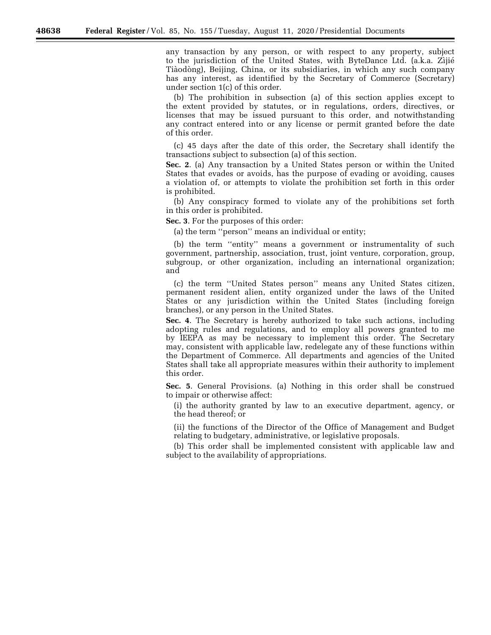any transaction by any person, or with respect to any property, subject to the jurisdiction of the United States, with ByteDance Ltd. (a.k.a. Zijié Tiàodòng), Beijing, China, or its subsidiaries, in which any such company has any interest, as identified by the Secretary of Commerce (Secretary) under section 1(c) of this order.

(b) The prohibition in subsection (a) of this section applies except to the extent provided by statutes, or in regulations, orders, directives, or licenses that may be issued pursuant to this order, and notwithstanding any contract entered into or any license or permit granted before the date of this order.

(c) 45 days after the date of this order, the Secretary shall identify the transactions subject to subsection (a) of this section.

**Sec. 2**. (a) Any transaction by a United States person or within the United States that evades or avoids, has the purpose of evading or avoiding, causes a violation of, or attempts to violate the prohibition set forth in this order is prohibited.

(b) Any conspiracy formed to violate any of the prohibitions set forth in this order is prohibited.

**Sec. 3**. For the purposes of this order:

(a) the term ''person'' means an individual or entity;

(b) the term ''entity'' means a government or instrumentality of such government, partnership, association, trust, joint venture, corporation, group, subgroup, or other organization, including an international organization; and

(c) the term ''United States person'' means any United States citizen, permanent resident alien, entity organized under the laws of the United States or any jurisdiction within the United States (including foreign branches), or any person in the United States.

**Sec. 4**. The Secretary is hereby authorized to take such actions, including adopting rules and regulations, and to employ all powers granted to me by IEEPA as may be necessary to implement this order. The Secretary may, consistent with applicable law, redelegate any of these functions within the Department of Commerce. All departments and agencies of the United States shall take all appropriate measures within their authority to implement this order.

**Sec. 5**. General Provisions. (a) Nothing in this order shall be construed to impair or otherwise affect:

(i) the authority granted by law to an executive department, agency, or the head thereof; or

(ii) the functions of the Director of the Office of Management and Budget relating to budgetary, administrative, or legislative proposals.

(b) This order shall be implemented consistent with applicable law and subject to the availability of appropriations.